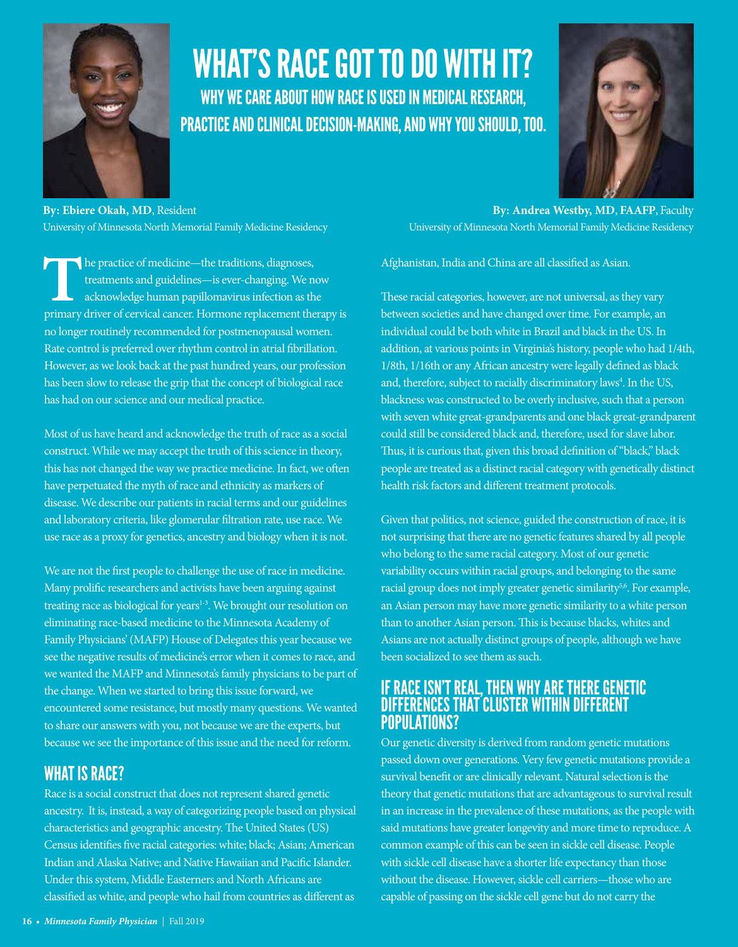

# WHAT'S RACE GOT TO DO WITH IT? WHY WE CARE ABOUT HOW RACE IS USED IN MEDICAL RESEARCH, PRACTICE AND CLINICAL DECISION-MAKING, AND WHY YOU SHOULD, TOO.



**By: Ebiere Okah, MD**, Resident University of Minnesota North Memorial Family Medicine Residency

The practice of medicine—the traditions, diagnoses, treatments and guidelines—is ever-changing. We now acknowledge human papillomavirus infection as the primary driver of cervical cancer. Hormone replacement therapy is no longer routinely recommended for postmenopausal women. Rate control is preferred over rhythm control in atrial fibrillation. However, as we look back at the past hundred years, our profession has been slow to release the grip that the concept of biological race has had on our science and our medical practice.

Most of us have heard and acknowledge the truth of race as a social construct. While we may accept the truth of this science in theory, this has not changed the way we practice medicine. In fact, we often have perpetuated the myth of race and ethnicity as markers of disease. We describe our patients in racial terms and our guidelines and laboratory criteria, like glomerular filtration rate, use race. We use race as a proxy for genetics, ancestry and biology when it is not.

We are not the first people to challenge the use of race in medicine. Many prolific researchers and activists have been arguing against treating race as biological for years<sup>1-3</sup>. We brought our resolution on eliminating race-based medicine to the Minnesota Academy of Family Physicians' (MAFP) House of Delegates this year because we see the negative results of medicine's error when it comes to race, and we wanted the MAFP and Minnesota's family physicians to be part of the change. When we started to bring this issue forward, we encountered some resistance, but mostly many questions. We wanted to share our answers with you, not because we are the experts, but because we see the importance of this issue and the need for reform.

## WHAT IS RACE?

Race is a social construct that does not represent shared genetic ancestry. It is, instead, a way of categorizing people based on physical characteristics and geographic ancestry. The United States (US) Census identifies five racial categories: white; black; Asian; American Indian and Alaska Native; and Native Hawaiian and Pacific Islander. Under this system, Middle Easterners and North Africans are classified as white, and people who hail from countries as different as

**By: Andrea Westby, MD**, **FAAFP**, Faculty University of Minnesota North Memorial Family Medicine Residency

Afghanistan, India and China are all classified as Asian.

These racial categories, however, are not universal, as they vary between societies and have changed over time. For example, an individual could be both white in Brazil and black in the US. In addition, at various points in Virginia's history, people who had 1/4th, 1/8th, 1/16th or any African ancestry were legally defined as black and, therefore, subject to racially discriminatory laws<sup>4</sup>. In the US, blackness was constructed to be overly inclusive, such that a person with seven white great-grandparents and one black great-grandparent could still be considered black and, therefore, used for slave labor. Thus, it is curious that, given this broad definition of "black," black people are treated as a distinct racial category with genetically distinct health risk factors and different treatment protocols.

Given that politics, not science, guided the construction of race, it is not surprising that there are no genetic features shared by all people who belong to the same racial category. Most of our genetic variability occurs within racial groups, and belonging to the same racial group does not imply greater genetic similarity<sup>5,6</sup>. For example, an Asian person may have more genetic similarity to a white person than to another Asian person. This is because blacks, whites and Asians are not actually distinct groups of people, although we have been socialized to see them as such.

### IF RACE ISN'T REAL, THEN WHY ARE THERE GENETIC DIFFERENCES THAT CLUSTER WITHIN DIFFERENT POPULATIONS?

Our genetic diversity is derived from random genetic mutations passed down over generations. Very few genetic mutations provide a survival benefit or are clinically relevant. Natural selection is the theory that genetic mutations that are advantageous to survival result in an increase in the prevalence of these mutations, as the people with said mutations have greater longevity and more time to reproduce. A common example of this can be seen in sickle cell disease. People with sickle cell disease have a shorter life expectancy than those without the disease. However, sickle cell carriers—those who are capable of passing on the sickle cell gene but do not carry the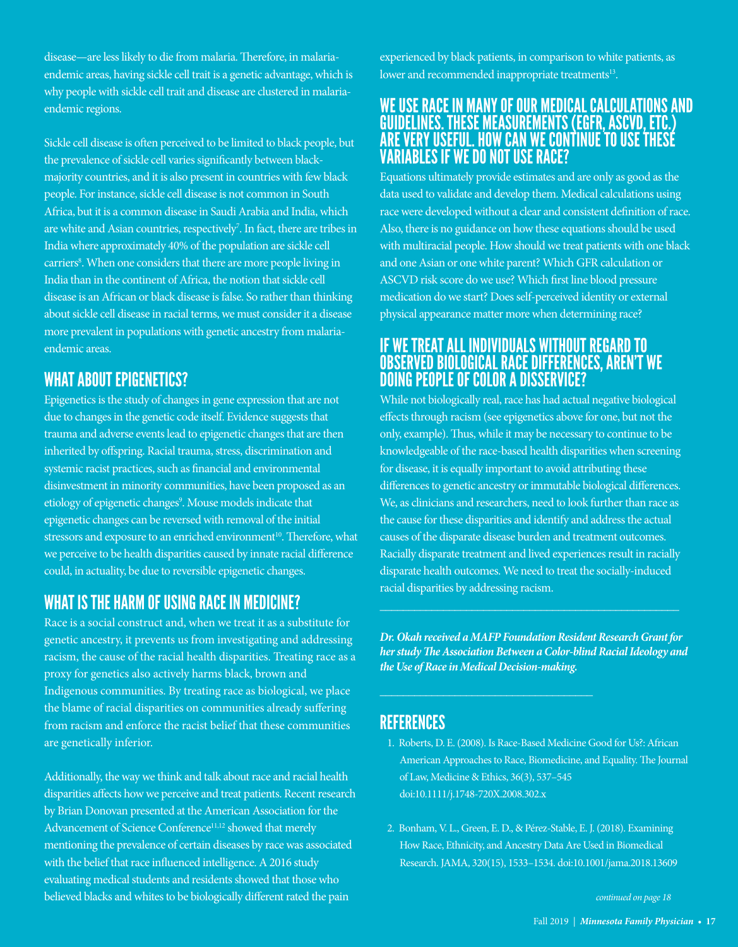disease—are less likely to die from malaria. Therefore, in malariaendemic areas, having sickle cell trait is a genetic advantage, which is why people with sickle cell trait and disease are clustered in malariaendemic regions.

Sickle cell disease is often perceived to be limited to black people, but the prevalence of sickle cell varies significantly between blackmajority countries, and it is also present in countries with few black people. For instance, sickle cell disease is not common in South Africa, but it is a common disease in Saudi Arabia and India, which are white and Asian countries, respectively<sup>7</sup>. In fact, there are tribes in India where approximately 40% of the population are sickle cell carriers<sup>8</sup>. When one considers that there are more people living in India than in the continent of Africa, the notion that sickle cell disease is an African or black disease is false. So rather than thinking about sickle cell disease in racial terms, we must consider it a disease more prevalent in populations with genetic ancestry from malariaendemic areas.

# WHAT ABOUT EPIGENETICS?

Epigenetics is the study of changes in gene expression that are not due to changes in the genetic code itself. Evidence suggests that trauma and adverse events lead to epigenetic changes that are then inherited by offspring. Racial trauma, stress, discrimination and systemic racist practices, such as financial and environmental disinvestment in minority communities, have been proposed as an etiology of epigenetic changes<sup>9</sup>. Mouse models indicate that epigenetic changes can be reversed with removal of the initial stressors and exposure to an enriched environment<sup>10</sup>. Therefore, what we perceive to be health disparities caused by innate racial difference could, in actuality, be due to reversible epigenetic changes.

# WHAT IS THE HARM OF USING RACE IN MEDICINE?

Race is a social construct and, when we treat it as a substitute for genetic ancestry, it prevents us from investigating and addressing racism, the cause of the racial health disparities. Treating race as a proxy for genetics also actively harms black, brown and Indigenous communities. By treating race as biological, we place the blame of racial disparities on communities already suffering from racism and enforce the racist belief that these communities are genetically inferior.

Additionally, the way we think and talk about race and racial health disparities affects how we perceive and treat patients. Recent research by Brian Donovan presented at the American Association for the Advancement of Science Conference<sup>11,12</sup> showed that merely mentioning the prevalence of certain diseases by race was associated with the belief that race influenced intelligence. A 2016 study evaluating medical students and residents showed that those who believed blacks and whites to be biologically different rated the pain

experienced by black patients, in comparison to white patients, as lower and recommended inappropriate treatments<sup>13</sup>.

### WE USE RACE IN MANY OF OUR MEDICAL CALCULATIONS AND GUIDELINES. THESE MEASUREMENTS (EGFR, ASCVD, ETC.) ARE VERY USEFUL. HOW CAN WE CONTINUE TO USE THESE VARIABLES IF WE DO NOT USE RACE?

Equations ultimately provide estimates and are only as good as the data used to validate and develop them. Medical calculations using race were developed without a clear and consistent definition of race. Also, there is no guidance on how these equations should be used with multiracial people. How should we treat patients with one black and one Asian or one white parent? Which GFR calculation or ASCVD risk score do we use? Which first line blood pressure medication do we start? Does self-perceived identity or external physical appearance matter more when determining race?

## IF WE TREAT ALL INDIVIDUALS WITHOUT REGARD TO OBSERVED BIOLOGICAL RACE DIFFERENCES, AREN'T WE DOING PEOPLE OF COLOR A DISSERVICE?

While not biologically real, race has had actual negative biological effects through racism (see epigenetics above for one, but not the only, example). Thus, while it may be necessary to continue to be knowledgeable of the race-based health disparities when screening for disease, it is equally important to avoid attributing these differences to genetic ancestry or immutable biological differences. We, as clinicians and researchers, need to look further than race as the cause for these disparities and identify and address the actual causes of the disparate disease burden and treatment outcomes. Racially disparate treatment and lived experiences result in racially disparate health outcomes. We need to treat the socially-induced racial disparities by addressing racism.

*Dr. Okah received a MAFP Foundation Resident Research Grant for her study The Association Between a Color-blind Racial Ideology and the Use of Race in Medical Decision-making.*

## **REFERENCES**

- 1. Roberts, D. E. (2008). Is Race-Based Medicine Good for Us?: African American Approaches to Race, Biomedicine, and Equality. The Journal of Law, Medicine & Ethics, 36(3), 537–545 doi:10.1111/j.1748-720X.2008.302.x
- 2. Bonham, V. L., Green, E. D., & Pérez-Stable, E. J. (2018). Examining How Race, Ethnicity, and Ancestry Data Are Used in Biomedical Research. JAMA, 320(15), 1533–1534. doi:10.1001/jama.2018.13609

 *continued on page 18*